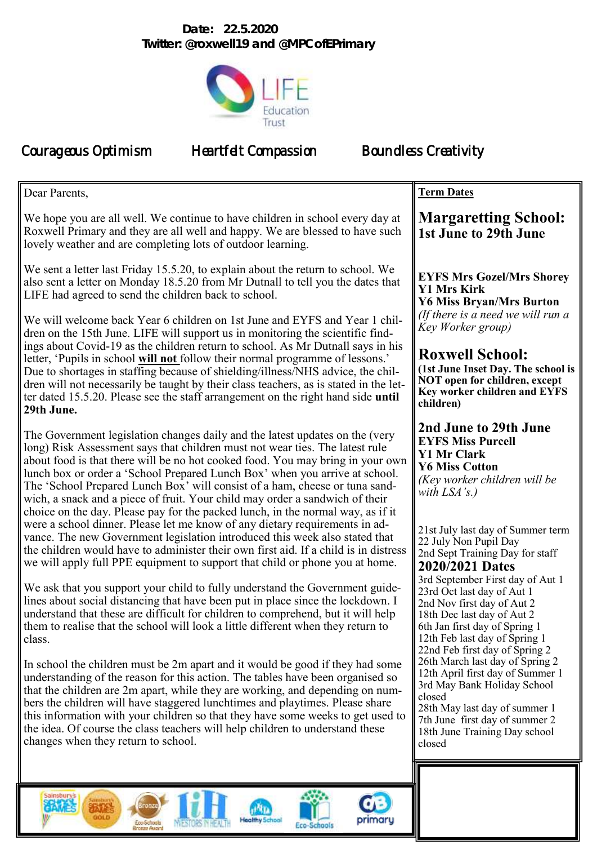## **Date: 22.5.2020 Twitter: @roxwell19 and @MPCofEPrimary**



Courageous Optimism Heartfelt Compassion Boundless Creativity

| Dear Parents,                                                                                                                                                                                                                                                                                                                                                                                                                                                                                                                                                                   | <b>Term Dates</b>                                                                                                                                                                                                              |
|---------------------------------------------------------------------------------------------------------------------------------------------------------------------------------------------------------------------------------------------------------------------------------------------------------------------------------------------------------------------------------------------------------------------------------------------------------------------------------------------------------------------------------------------------------------------------------|--------------------------------------------------------------------------------------------------------------------------------------------------------------------------------------------------------------------------------|
| We hope you are all well. We continue to have children in school every day at<br>Roxwell Primary and they are all well and happy. We are blessed to have such<br>lovely weather and are completing lots of outdoor learning.                                                                                                                                                                                                                                                                                                                                                    | <b>Margaretting School:</b><br>1st June to 29th June                                                                                                                                                                           |
| We sent a letter last Friday 15.5.20, to explain about the return to school. We<br>also sent a letter on Monday 18.5.20 from Mr Dutnall to tell you the dates that<br>LIFE had agreed to send the children back to school.                                                                                                                                                                                                                                                                                                                                                      | <b>EYFS Mrs Gozel/Mrs Shorey</b><br><b>Y1 Mrs Kirk</b><br><b>Y6 Miss Bryan/Mrs Burton</b>                                                                                                                                      |
| We will welcome back Year 6 children on 1st June and EYFS and Year 1 chil-<br>dren on the 15th June. LIFE will support us in monitoring the scientific find-                                                                                                                                                                                                                                                                                                                                                                                                                    | (If there is a need we will run a<br>Key Worker group)                                                                                                                                                                         |
| ings about Covid-19 as the children return to school. As Mr Dutnall says in his<br>letter, 'Pupils in school will not follow their normal programme of lessons.'<br>Due to shortages in staffing because of shielding/illness/NHS advice, the chil-<br>dren will not necessarily be taught by their class teachers, as is stated in the let-<br>ter dated 15.5.20. Please see the staff arrangement on the right hand side until<br>29th June.                                                                                                                                  | <b>Roxwell School:</b><br>(1st June Inset Day. The school is<br>NOT open for children, except<br>Key worker children and EYFS<br>children)                                                                                     |
| The Government legislation changes daily and the latest updates on the (very<br>long) Risk Assessment says that children must not wear ties. The latest rule<br>about food is that there will be no hot cooked food. You may bring in your own<br>lunch box or order a 'School Prepared Lunch Box' when you arrive at school.<br>The 'School Prepared Lunch Box' will consist of a ham, cheese or tuna sand-<br>wich, a snack and a piece of fruit. Your child may order a sandwich of their<br>choice on the day. Please pay for the packed lunch, in the normal way, as if it | 2nd June to 29th June<br><b>EYFS Miss Purcell</b><br><b>Y1 Mr Clark</b><br><b>Y6 Miss Cotton</b><br>(Key worker children will be<br>with $LSA$ 's.)                                                                            |
| were a school dinner. Please let me know of any dietary requirements in ad-<br>vance. The new Government legislation introduced this week also stated that<br>the children would have to administer their own first aid. If a child is in distress<br>we will apply full PPE equipment to support that child or phone you at home.                                                                                                                                                                                                                                              | 21st July last day of Summer term<br>22 July Non Pupil Day<br>2nd Sept Training Day for staff<br><b>2020/2021 Dates</b>                                                                                                        |
| We ask that you support your child to fully understand the Government guide-<br>lines about social distancing that have been put in place since the lockdown. I<br>understand that these are difficult for children to comprehend, but it will help<br>them to realise that the school will look a little different when they return to<br>class.                                                                                                                                                                                                                               | 3rd September First day of Aut 1<br>23rd Oct last day of Aut 1<br>2nd Nov first day of Aut 2<br>18th Dec last day of Aut 2<br>6th Jan first day of Spring 1<br>12th Feb last day of Spring 1<br>22nd Feb first day of Spring 2 |
| In school the children must be 2m apart and it would be good if they had some<br>understanding of the reason for this action. The tables have been organised so<br>that the children are 2m apart, while they are working, and depending on num-<br>bers the children will have staggered lunchtimes and playtimes. Please share<br>this information with your children so that they have some weeks to get used to<br>the idea. Of course the class teachers will help children to understand these<br>changes when they return to school.                                     | 26th March last day of Spring 2<br>12th April first day of Summer 1<br>3rd May Bank Holiday School<br>closed<br>28th May last day of summer 1<br>7th June first day of summer 2<br>18th June Training Day school<br>closed     |
|                                                                                                                                                                                                                                                                                                                                                                                                                                                                                                                                                                                 |                                                                                                                                                                                                                                |

 $d\mathbf{u}$ **Healthy Sc** 

Eco-Schools

*INESTOR* 

ae Au

primary